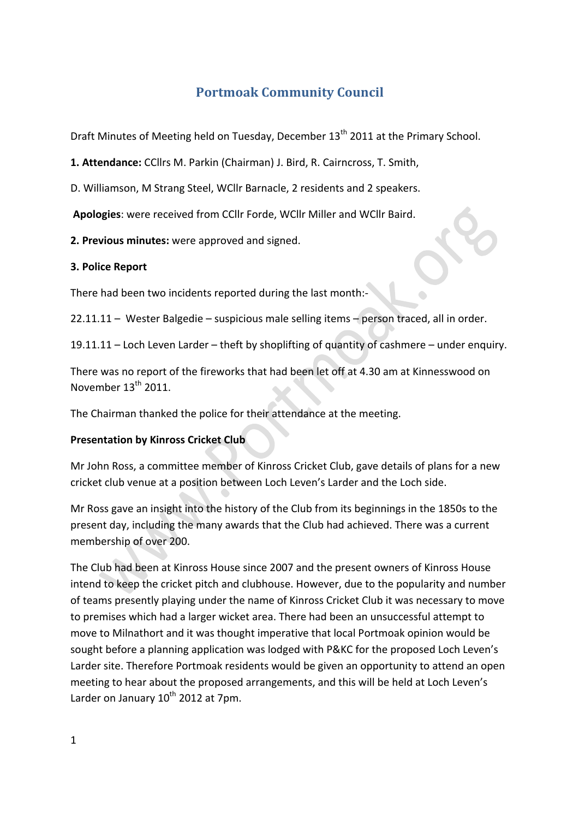# **Portmoak Community Council**

Draft Minutes of Meeting held on Tuesday, December 13<sup>th</sup> 2011 at the Primary School.

1. Attendance: CCllrs M. Parkin (Chairman) J. Bird, R. Cairncross, T. Smith,

D. Williamson, M Strang Steel, WCllr Barnacle, 2 residents and 2 speakers.

Apologies: were received from CCllr Forde, WCllr Miller and WCllr Baird.

**2. Previous minutes:** were approved and signed.

#### **3. Police Report**

There had been two incidents reported during the last month:-

 $22.11.11 -$  Wester Balgedie – suspicious male selling items – person traced, all in order.

 $19.11.11 -$  Loch Leven Larder – theft by shoplifting of quantity of cashmere – under enquiry.

There was no report of the fireworks that had been let off at 4.30 am at Kinnesswood on November  $13<sup>th</sup>$  2011.

The Chairman thanked the police for their attendance at the meeting.

## **Presentation by Kinross Cricket Club**

Mr John Ross, a committee member of Kinross Cricket Club, gave details of plans for a new cricket club venue at a position between Loch Leven's Larder and the Loch side.

Mr Ross gave an insight into the history of the Club from its beginnings in the 1850s to the present day, including the many awards that the Club had achieved. There was a current membership of over 200.

The Club had been at Kinross House since 2007 and the present owners of Kinross House intend to keep the cricket pitch and clubhouse. However, due to the popularity and number of teams presently playing under the name of Kinross Cricket Club it was necessary to move to premises which had a larger wicket area. There had been an unsuccessful attempt to move to Milnathort and it was thought imperative that local Portmoak opinion would be sought before a planning application was lodged with P&KC for the proposed Loch Leven's Larder site. Therefore Portmoak residents would be given an opportunity to attend an open meeting to hear about the proposed arrangements, and this will be held at Loch Leven's Larder on January  $10^{th}$  2012 at 7pm.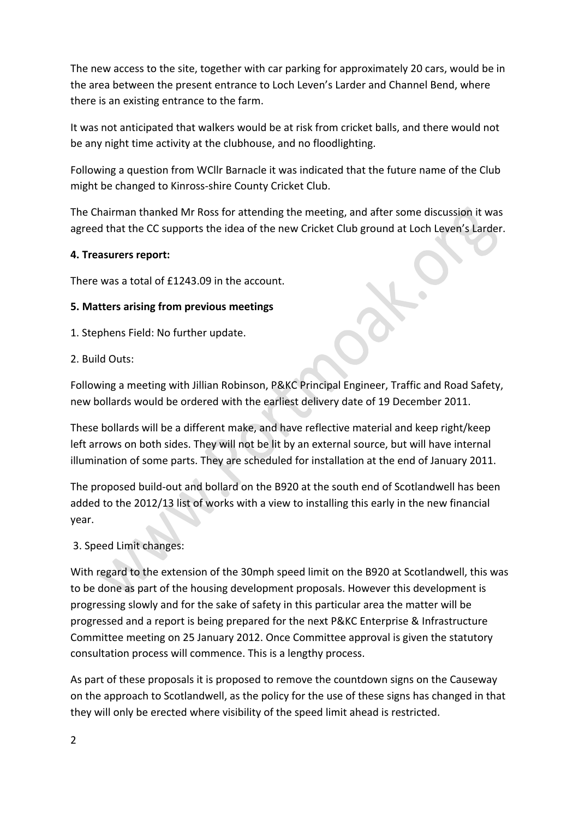The new access to the site, together with car parking for approximately 20 cars, would be in the area between the present entrance to Loch Leven's Larder and Channel Bend, where there is an existing entrance to the farm.

It was not anticipated that walkers would be at risk from cricket balls, and there would not be any night time activity at the clubhouse, and no floodlighting.

Following a question from WCllr Barnacle it was indicated that the future name of the Club might be changed to Kinross-shire County Cricket Club.

The Chairman thanked Mr Ross for attending the meeting, and after some discussion it was agreed that the CC supports the idea of the new Cricket Club ground at Loch Leven's Larder.

## **4. Treasurers report:**

There was a total of £1243.09 in the account.

## **5. Matters arising from previous meetings**

1. Stephens Field: No further update.

#### 2. Build Outs:

Following a meeting with Jillian Robinson, P&KC Principal Engineer, Traffic and Road Safety, new bollards would be ordered with the earliest delivery date of 19 December 2011.

These bollards will be a different make, and have reflective material and keep right/keep left arrows on both sides. They will not be lit by an external source, but will have internal illumination of some parts. They are scheduled for installation at the end of January 2011.

The proposed build-out and bollard on the B920 at the south end of Scotlandwell has been added to the 2012/13 list of works with a view to installing this early in the new financial year. 

## 3. Speed Limit changes:

With regard to the extension of the 30mph speed limit on the B920 at Scotlandwell, this was to be done as part of the housing development proposals. However this development is progressing slowly and for the sake of safety in this particular area the matter will be progressed and a report is being prepared for the next P&KC Enterprise & Infrastructure Committee meeting on 25 January 2012. Once Committee approval is given the statutory consultation process will commence. This is a lengthy process.

As part of these proposals it is proposed to remove the countdown signs on the Causeway on the approach to Scotlandwell, as the policy for the use of these signs has changed in that they will only be erected where visibility of the speed limit ahead is restricted.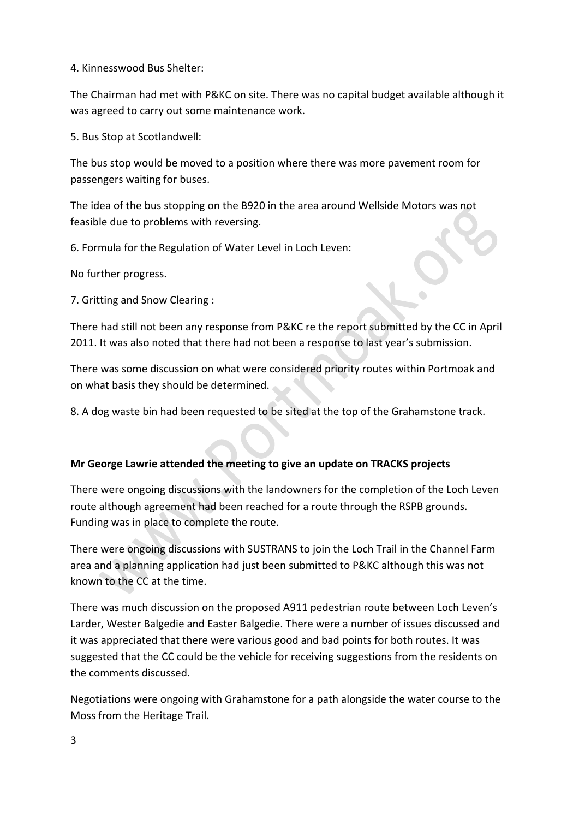4. Kinnesswood Bus Shelter:

The Chairman had met with P&KC on site. There was no capital budget available although it was agreed to carry out some maintenance work.

5. Bus Stop at Scotlandwell:

The bus stop would be moved to a position where there was more pavement room for passengers waiting for buses.

The idea of the bus stopping on the B920 in the area around Wellside Motors was not feasible due to problems with reversing.

6. Formula for the Regulation of Water Level in Loch Leven:

No further progress.

7. Gritting and Snow Clearing :

There had still not been any response from P&KC re the report submitted by the CC in April 2011. It was also noted that there had not been a response to last year's submission.

There was some discussion on what were considered priority routes within Portmoak and on what basis they should be determined.

8. A dog waste bin had been requested to be sited at the top of the Grahamstone track.

## **Mr George Lawrie attended the meeting to give an update on TRACKS projects**

There were ongoing discussions with the landowners for the completion of the Loch Leven route although agreement had been reached for a route through the RSPB grounds. Funding was in place to complete the route.

There were ongoing discussions with SUSTRANS to join the Loch Trail in the Channel Farm area and a planning application had just been submitted to P&KC although this was not known to the CC at the time.

There was much discussion on the proposed A911 pedestrian route between Loch Leven's Larder, Wester Balgedie and Easter Balgedie. There were a number of issues discussed and it was appreciated that there were various good and bad points for both routes. It was suggested that the CC could be the vehicle for receiving suggestions from the residents on the comments discussed.

Negotiations were ongoing with Grahamstone for a path alongside the water course to the Moss from the Heritage Trail.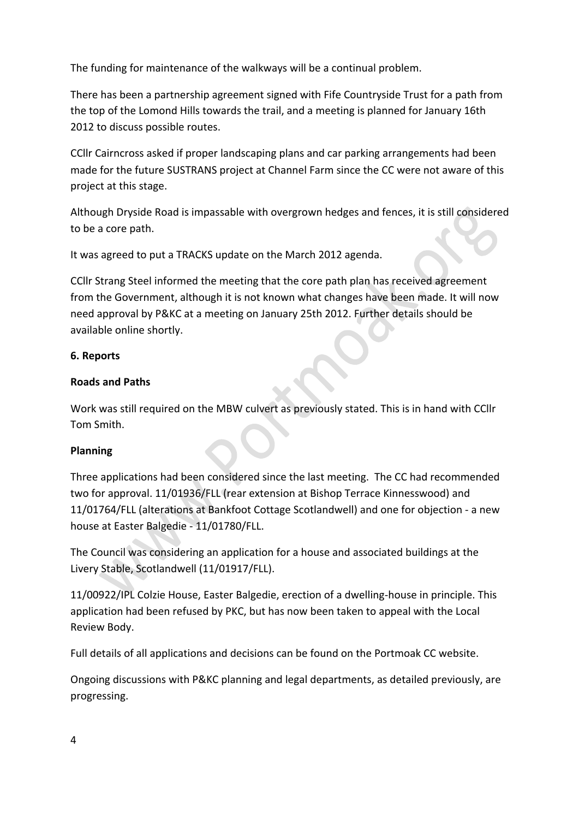The funding for maintenance of the walkways will be a continual problem.

There has been a partnership agreement signed with Fife Countryside Trust for a path from the top of the Lomond Hills towards the trail, and a meeting is planned for January 16th 2012 to discuss possible routes.

CCIIr Cairncross asked if proper landscaping plans and car parking arrangements had been made for the future SUSTRANS project at Channel Farm since the CC were not aware of this project at this stage.

Although Dryside Road is impassable with overgrown hedges and fences, it is still considered to be a core path.

It was agreed to put a TRACKS update on the March 2012 agenda.

CCIIr Strang Steel informed the meeting that the core path plan has received agreement from the Government, although it is not known what changes have been made. It will now need approval by P&KC at a meeting on January 25th 2012. Further details should be available online shortly.

## **6. Reports**

## **Roads and Paths**

Work was still required on the MBW culvert as previously stated. This is in hand with CCllr Tom Smith.

# **Planning**

Three applications had been considered since the last meeting. The CC had recommended two for approval. 11/01936/FLL (rear extension at Bishop Terrace Kinnesswood) and 11/01764/FLL (alterations at Bankfoot Cottage Scotlandwell) and one for objection - a new house at Easter Balgedie - 11/01780/FLL.

The Council was considering an application for a house and associated buildings at the Livery Stable, Scotlandwell (11/01917/FLL).

11/00922/IPL Colzie House, Easter Balgedie, erection of a dwelling-house in principle. This application had been refused by PKC, but has now been taken to appeal with the Local Review Body.

Full details of all applications and decisions can be found on the Portmoak CC website.

Ongoing discussions with P&KC planning and legal departments, as detailed previously, are progressing.